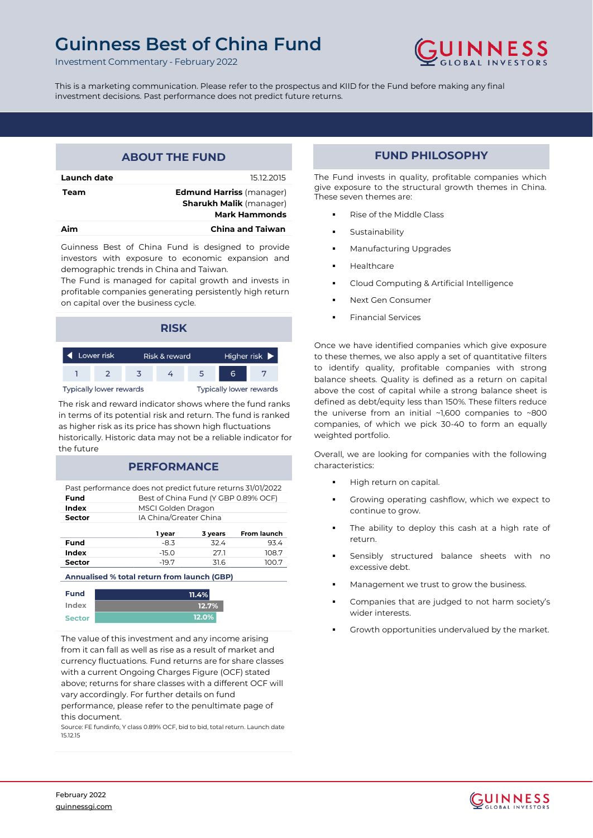# **Guinness Best of China Fund**



Investment Commentary - February 2022

This is a marketing communication. Please refer to the prospectus and KIID for the Fund before making any final investment decisions. Past performance does not predict future returns.

| <b>ABOUT THE FUND</b> |                                                                                           |  |  |  |  |  |
|-----------------------|-------------------------------------------------------------------------------------------|--|--|--|--|--|
| Launch date           | 15.12.2015                                                                                |  |  |  |  |  |
| Team                  | <b>Edmund Harriss (manager)</b><br><b>Sharukh Malik (manager)</b><br><b>Mark Hammonds</b> |  |  |  |  |  |
| Δim                   | <b>China and Taiwan</b>                                                                   |  |  |  |  |  |

Guinness Best of China Fund is designed to provide investors with exposure to economic expansion and demographic trends in China and Taiwan.

The Fund is managed for capital growth and invests in profitable companies generating persistently high return on capital over the business cycle.

| <b>RISK</b>                                                      |  |  |  |  |  |  |  |
|------------------------------------------------------------------|--|--|--|--|--|--|--|
| Lower risk<br>Higher risk $\blacktriangleright$<br>Risk & reward |  |  |  |  |  |  |  |
| 6<br>5                                                           |  |  |  |  |  |  |  |
| <b>Typically lower rewards</b><br><b>Typically lower rewards</b> |  |  |  |  |  |  |  |

The risk and reward indicator shows where the fund ranks in terms of its potential risk and return. The fund is ranked as higher risk as its price has shown high fluctuations historically. Historic data may not be a reliable indicator for the future

### **PERFORMANCE**

Past performance does not predict future returns 31/01/2022 **Fund** Best of China Fund (Y GBP 0.89% OCF)

| Index         |         | MSCI Golden Dragon            |       |  |  |  |  |  |
|---------------|---------|-------------------------------|-------|--|--|--|--|--|
| <b>Sector</b> |         | IA China/Greater China        |       |  |  |  |  |  |
|               | 1 year  | <b>From launch</b><br>3 years |       |  |  |  |  |  |
| Fund          | $-8.3$  | 324                           | 934   |  |  |  |  |  |
| Index         | $-15.0$ | 27.1                          | 108.7 |  |  |  |  |  |
| <b>Sector</b> | $-19.7$ | 316                           | 100.7 |  |  |  |  |  |

**Annualised % total return from launch (GBP)**

| Fund          | 11.4% |
|---------------|-------|
| Index         | 12.7% |
| <b>Sector</b> | 12.0% |

The value of this investment and any income arising from it can fall as well as rise as a result of market and currency fluctuations. Fund returns are for share classes with a current Ongoing Charges Figure (OCF) stated above; returns for share classes with a different OCF will vary accordingly. For further details on fund

performance, please refer to the penultimate page of this document.

Source: FE fundinfo, Y class 0.89% OCF, bid to bid, total return. Launch date 15.12.15

## **FUND PHILOSOPHY**

The Fund invests in quality, profitable companies which give exposure to the structural growth themes in China. These seven themes are:

- Rise of the Middle Class
- Sustainability
- **Manufacturing Upgrades**
- **Healthcare**
- Cloud Computing & Artificial Intelligence
- Next Gen Consumer
- Financial Services

Once we have identified companies which give exposure to these themes, we also apply a set of quantitative filters to identify quality, profitable companies with strong balance sheets. Quality is defined as a return on capital above the cost of capital while a strong balance sheet is defined as debt/equity less than 150%. These filters reduce the universe from an initial ~1,600 companies to ~800 companies, of which we pick 30-40 to form an equally weighted portfolio.

Overall, we are looking for companies with the following characteristics:

- High return on capital.
- Growing operating cashflow, which we expect to continue to grow.
- The ability to deploy this cash at a high rate of return.
- Sensibly structured balance sheets with no excessive debt.
- Management we trust to grow the business.
- Companies that are judged to not harm society's wider interests.
- Growth opportunities undervalued by the market.

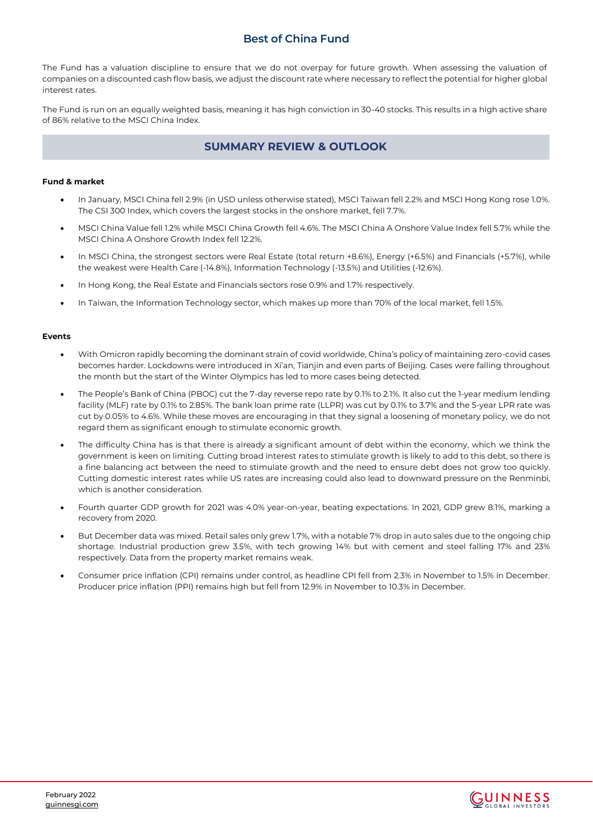The Fund has a valuation discipline to ensure that we do not overpay for future growth. When assessing the valuation of companies on a discounted cash flow basis, we adjust the discount rate where necessary to reflect the potential for higher global interest rates.

The Fund is run on an equally weighted basis, meaning it has high conviction in 30-40 stocks. This results in a high active share of 86% relative to the MSCI China Index.

### **SUMMARY REVIEW & OUTLOOK**

### **Fund & market**

- In January, MSCI China fell 2.9% (in USD unless otherwise stated), MSCI Taiwan fell 2.2% and MSCI Hong Kong rose 1.0%. The CSI 300 Index, which covers the largest stocks in the onshore market, fell 7.7%.
- MSCI China Value fell 1.2% while MSCI China Growth fell 4.6%. The MSCI China A Onshore Value Index fell 5.7% while the MSCI China A Onshore Growth Index fell 12.2%.
- In MSCI China, the strongest sectors were Real Estate (total return +8.6%), Energy (+6.5%) and Financials (+5.7%), while the weakest were Health Care (-14.8%), Information Technology (-13.5%) and Utilities (-12.6%).
- In Hong Kong, the Real Estate and Financials sectors rose 0.9% and 1.7% respectively.
- In Taiwan, the Information Technology sector, which makes up more than 70% of the local market, fell 1.5%.

#### **Events**

- With Omicron rapidly becoming the dominant strain of covid worldwide, China's policy of maintaining zero-covid cases becomes harder. Lockdowns were introduced in Xi'an, Tianjin and even parts of Beijing. Cases were falling throughout the month but the start of the Winter Olympics has led to more cases being detected.
- The People's Bank of China (PBOC) cut the 7-day reverse repo rate by 0.1% to 2.1%. It also cut the 1-year medium lending facility (MLF) rate by 0.1% to 2.85%. The bank loan prime rate (LLPR) was cut by 0.1% to 3.7% and the 5-year LPR rate was cut by 0.05% to 4.6%. While these moves are encouraging in that they signal a loosening of monetary policy, we do not regard them as significant enough to stimulate economic growth.
- The difficulty China has is that there is already a significant amount of debt within the economy, which we think the government is keen on limiting. Cutting broad interest rates to stimulate growth is likely to add to this debt, so there is a fine balancing act between the need to stimulate growth and the need to ensure debt does not grow too quickly. Cutting domestic interest rates while US rates are increasing could also lead to downward pressure on the Renminbi, which is another consideration.
- Fourth quarter GDP growth for 2021 was 4.0% year-on-year, beating expectations. In 2021, GDP grew 8.1%, marking a recovery from 2020.
- But December data was mixed. Retail sales only grew 1.7%, with a notable 7% drop in auto sales due to the ongoing chip shortage. Industrial production grew 3.5%, with tech growing 14% but with cement and steel falling 17% and 23% respectively. Data from the property market remains weak.
- Consumer price inflation (CPI) remains under control, as headline CPI fell from 2.3% in November to 1.5% in December. Producer price inflation (PPI) remains high but fell from 12.9% in November to 10.3% in December.

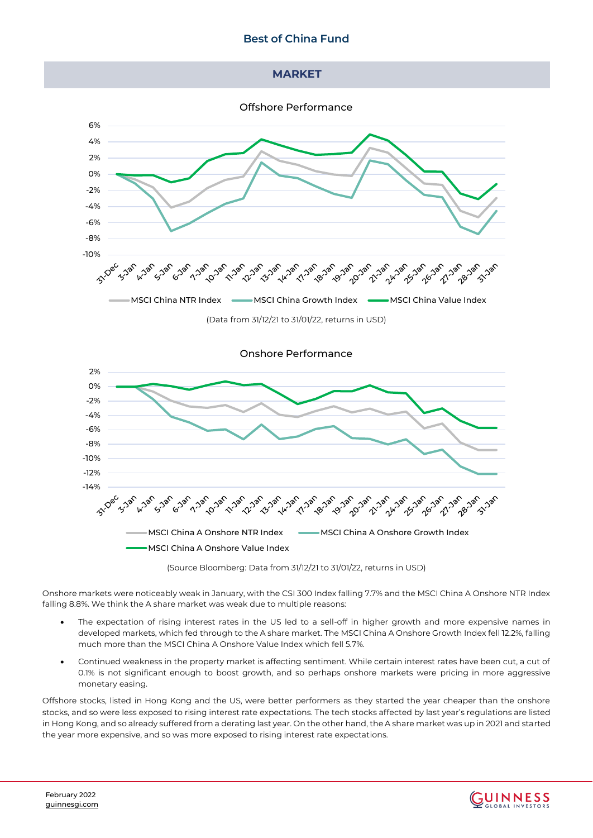### **MADKET**

Offshore Performance



(Data from 31/12/21 to 31/01/22, returns in USD)



(Source Bloomberg: Data from 31/12/21 to 31/01/22, returns in USD)

Onshore markets were noticeably weak in January, with the CSI 300 Index falling 7.7% and the MSCI China A Onshore NTR Index falling 8.8%. We think the A share market was weak due to multiple reasons:

- The expectation of rising interest rates in the US led to a sell-off in higher growth and more expensive names in developed markets, which fed through to the A share market. The MSCI China A Onshore Growth Index fell 12.2%, falling much more than the MSCI China A Onshore Value Index which fell 5.7%.
- Continued weakness in the property market is affecting sentiment. While certain interest rates have been cut, a cut of 0.1% is not significant enough to boost growth, and so perhaps onshore markets were pricing in more aggressive monetary easing.

Offshore stocks, listed in Hong Kong and the US, were better performers as they started the year cheaper than the onshore stocks, and so were less exposed to rising interest rate expectations. The tech stocks affected by last year's regulations are listed in Hong Kong, and so already suffered from a derating last year. On the other hand, the A share market was up in 2021 and started the year more expensive, and so was more exposed to rising interest rate expectations.

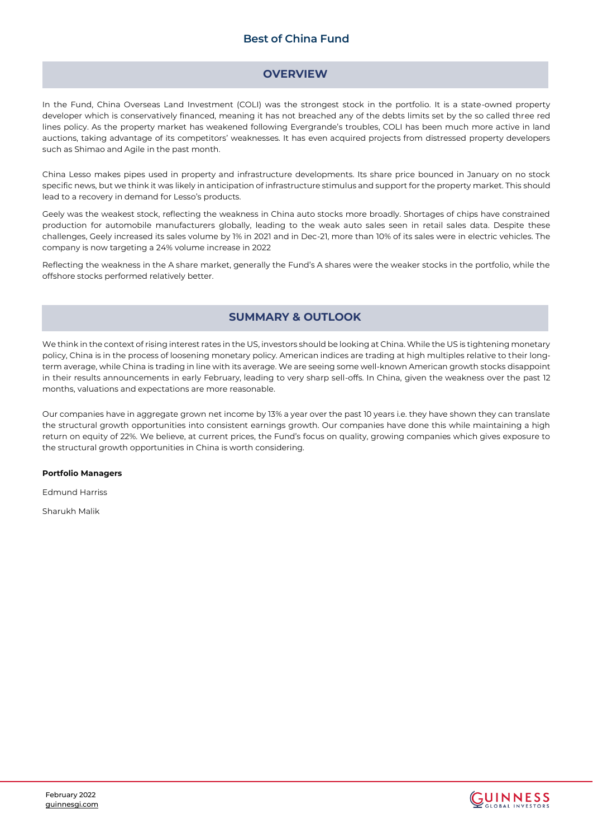### **OVERVIEW**

In the Fund, China Overseas Land Investment (COLI) was the strongest stock in the portfolio. It is a state-owned property developer which is conservatively financed, meaning it has not breached any of the debts limits set by the so called three red lines policy. As the property market has weakened following Evergrande's troubles, COLI has been much more active in land auctions, taking advantage of its competitors' weaknesses. It has even acquired projects from distressed property developers such as Shimao and Agile in the past month.

China Lesso makes pipes used in property and infrastructure developments. Its share price bounced in January on no stock specific news, but we think it was likely in anticipation of infrastructure stimulus and support for the property market. This should lead to a recovery in demand for Lesso's products.

Geely was the weakest stock, reflecting the weakness in China auto stocks more broadly. Shortages of chips have constrained production for automobile manufacturers globally, leading to the weak auto sales seen in retail sales data. Despite these challenges, Geely increased its sales volume by 1% in 2021 and in Dec-21, more than 10% of its sales were in electric vehicles. The company is now targeting a 24% volume increase in 2022

Reflecting the weakness in the A share market, generally the Fund's A shares were the weaker stocks in the portfolio, while the offshore stocks performed relatively better.

### **SUMMARY & OUTLOOK**

We think in the context of rising interest rates in the US, investors should be looking at China. While the US is tightening monetary policy, China is in the process of loosening monetary policy. American indices are trading at high multiples relative to their longterm average, while China is trading in line with its average. We are seeing some well-known American growth stocks disappoint in their results announcements in early February, leading to very sharp sell-offs. In China, given the weakness over the past 12 months, valuations and expectations are more reasonable.

Our companies have in aggregate grown net income by 13% a year over the past 10 years i.e. they have shown they can translate the structural growth opportunities into consistent earnings growth. Our companies have done this while maintaining a high return on equity of 22%. We believe, at current prices, the Fund's focus on quality, growing companies which gives exposure to the structural growth opportunities in China is worth considering.

#### **Portfolio Managers**

Edmund Harriss

Sharukh Malik



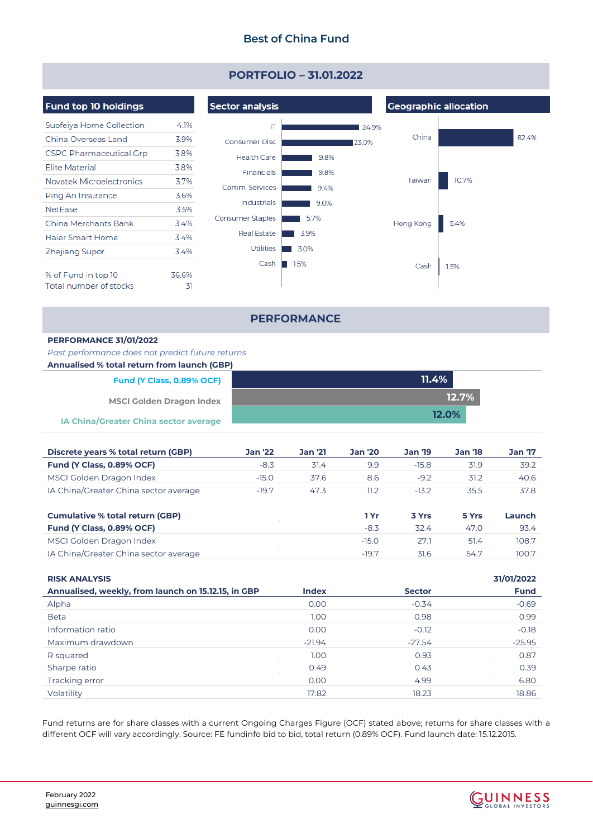# **PORTFOLIO – 31.01.2022**

| <b>Fund top 10 holdings</b>    |       | <b>Sector analysis</b> |      |       | <b>Geographic allocation</b> |       |       |  |
|--------------------------------|-------|------------------------|------|-------|------------------------------|-------|-------|--|
| Suofeiya Home Collection       | 4.1%  | IT                     |      | 24.9% |                              |       |       |  |
| China Overseas Land            | 3.9%  | Consumer Disc          |      | 23.0% | China                        |       | 82.4% |  |
| <b>CSPC Pharmaceutical Grp</b> | 3.8%  | Health Care            | 9.8% |       |                              |       |       |  |
| <b>Elite Material</b>          | 3.8%  | Financials             | 9.8% |       |                              |       |       |  |
| Novatek Microelectronics       | 3.7%  | Comm. Services         | 9.4% |       | Taiwan                       | 10.7% |       |  |
| Ping An Insurance              | 3.6%  |                        |      |       |                              |       |       |  |
| <b>NetEase</b>                 | 3.5%  | Industrials            | 9.0% |       |                              |       |       |  |
| China Merchants Bank           | 3.4%  | Consumer Staples       | 5.7% |       | Hong Kong                    | 5.4%  |       |  |
| Haier Smart Home               | 3.4%  | Real Estate            | 3.9% |       |                              |       |       |  |
| Zhejiang Supor                 | 3.4%  | <b>Utilities</b>       | 3.0% |       |                              |       |       |  |
|                                |       | Cash                   | 1.5% |       | Cash                         | 1.5%  |       |  |
| % of Fund in top 10            | 36.6% |                        |      |       |                              |       |       |  |
| Total number of stocks         | 31    |                        |      |       |                              |       |       |  |

### **PERFORMANCE**

### **PERFORMANCE 31/01/2022**

### *Past performance does not predict future returns*

| Annualised % total return from launch (GBP)  |              |
|----------------------------------------------|--------------|
| Fund (Y Class, 0.89% OCF)                    | 11.4%        |
| <b>MSCI Golden Dragon Index</b>              | $12.7\%$     |
| <b>IA China/Greater China sector average</b> | <b>12.0%</b> |

| Discrete years % total return (GBP)   | <b>Jan '22</b> | Jan '21 | Jan '20 | <b>Jan '19</b> | <b>Jan '18</b> | <b>Jan '17</b> |
|---------------------------------------|----------------|---------|---------|----------------|----------------|----------------|
| Fund (Y Class, 0.89% OCF)             | $-8.3$         | 31.4    | 9.9     | $-15.8$        | 31.9           | 39.2           |
| MSCI Golden Dragon Index              | $-15.0$        | 37.6    | 8.6     | $-9.2$         | 31.2           | 40.6           |
| IA China/Greater China sector average | $-19.7$        | 47.3    | 11.2    | $-13.2$        | 35.5           | 37.8           |
|                                       |                |         |         |                |                |                |

| ∣ Yr    | 3 Yrs | 5 Yrs | Launch |
|---------|-------|-------|--------|
| -8.3    | 32.4  | 47.0  | 93.4   |
| $-150$  | 77 I  | 51.4  | 108.7  |
| $-19.7$ | 31.6  | 547   | 100.7  |
|         |       |       |        |

| <b>RISK ANALYSIS</b>                                |              |               | 31/01/2022  |
|-----------------------------------------------------|--------------|---------------|-------------|
| Annualised, weekly, from launch on 15.12.15, in GBP | <b>Index</b> | <b>Sector</b> | <b>Fund</b> |
| Alpha                                               | 0.00         | $-0.34$       | $-0.69$     |
| <b>Beta</b>                                         | 1.00         | 0.98          | 0.99        |
| Information ratio                                   | 0.00         | $-0.12$       | $-0.18$     |
| Maximum drawdown                                    | $-21.94$     | $-27.54$      | $-25.95$    |
| R squared                                           | 1.00         | 0.93          | 0.87        |
| Sharpe ratio                                        | 0.49         | 0.43          | 0.39        |
| Tracking error                                      | 0.00         | 4.99          | 6.80        |
| Volatility                                          | 17.82        | 18.23         | 18.86       |
|                                                     |              |               |             |

Fund returns are for share classes with a current Ongoing Charges Figure (OCF) stated above; returns for share classes with a different OCF will vary accordingly. Source: FE fundinfo bid to bid, total return (0.89% OCF). Fund launch date: 15.12.2015.